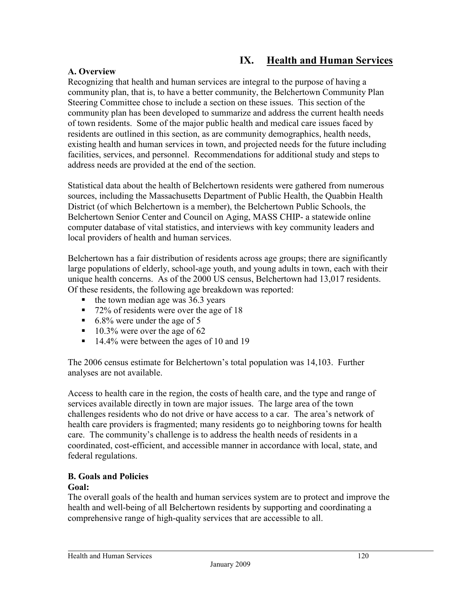# **IX. Health and Human Services**

# **A. Overview**

Recognizing that health and human services are integral to the purpose of having a community plan, that is, to have a better community, the Belchertown Community Plan Steering Committee chose to include a section on these issues. This section of the community plan has been developed to summarize and address the current health needs of town residents. Some of the major public health and medical care issues faced by residents are outlined in this section, as are community demographics, health needs, existing health and human services in town, and projected needs for the future including facilities, services, and personnel. Recommendations for additional study and steps to address needs are provided at the end of the section.

Statistical data about the health of Belchertown residents were gathered from numerous sources, including the Massachusetts Department of Public Health, the Quabbin Health District (of which Belchertown is a member), the Belchertown Public Schools, the Belchertown Senior Center and Council on Aging, MASS CHIP- a statewide online computer database of vital statistics, and interviews with key community leaders and local providers of health and human services.

Belchertown has a fair distribution of residents across age groups; there are significantly large populations of elderly, school-age youth, and young adults in town, each with their unique health concerns. As of the 2000 US census, Belchertown had 13,017 residents. Of these residents, the following age breakdown was reported:

- $\blacksquare$  the town median age was 36.3 years
- 72% of residents were over the age of 18
- $\blacksquare$  6.8% were under the age of 5
- $10.3\%$  were over the age of 62
- 14.4% were between the ages of 10 and 19

The 2006 census estimate for Belchertown's total population was 14,103. Further analyses are not available.

Access to health care in the region, the costs of health care, and the type and range of services available directly in town are major issues. The large area of the town challenges residents who do not drive or have access to a car. The area's network of health care providers is fragmented; many residents go to neighboring towns for health care. The community's challenge is to address the health needs of residents in a coordinated, cost-efficient, and accessible manner in accordance with local, state, and federal regulations.

# **B. Goals and Policies**

### **Goal:**

The overall goals of the health and human services system are to protect and improve the health and well-being of all Belchertown residents by supporting and coordinating a comprehensive range of high-quality services that are accessible to all.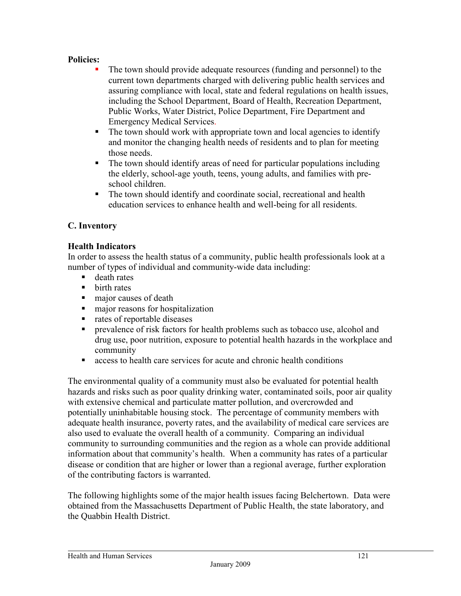# **Policies:**

- The town should provide adequate resources (funding and personnel) to the current town departments charged with delivering public health services and assuring compliance with local, state and federal regulations on health issues, including the School Department, Board of Health, Recreation Department, Public Works, Water District, Police Department, Fire Department and Emergency Medical Services.
- The town should work with appropriate town and local agencies to identify and monitor the changing health needs of residents and to plan for meeting those needs.
- The town should identify areas of need for particular populations including the elderly, school-age youth, teens, young adults, and families with preschool children.
- The town should identify and coordinate social, recreational and health education services to enhance health and well-being for all residents.

# **C. Inventory**

# **Health Indicators**

In order to assess the health status of a community, public health professionals look at a number of types of individual and community-wide data including:

- **death rates**
- $\blacksquare$  birth rates
- major causes of death
- major reasons for hospitalization
- nates of reportable diseases
- prevalence of risk factors for health problems such as tobacco use, alcohol and drug use, poor nutrition, exposure to potential health hazards in the workplace and community
- access to health care services for acute and chronic health conditions

The environmental quality of a community must also be evaluated for potential health hazards and risks such as poor quality drinking water, contaminated soils, poor air quality with extensive chemical and particulate matter pollution, and overcrowded and potentially uninhabitable housing stock. The percentage of community members with adequate health insurance, poverty rates, and the availability of medical care services are also used to evaluate the overall health of a community. Comparing an individual community to surrounding communities and the region as a whole can provide additional information about that community's health. When a community has rates of a particular disease or condition that are higher or lower than a regional average, further exploration of the contributing factors is warranted.

The following highlights some of the major health issues facing Belchertown. Data were obtained from the Massachusetts Department of Public Health, the state laboratory, and the Quabbin Health District.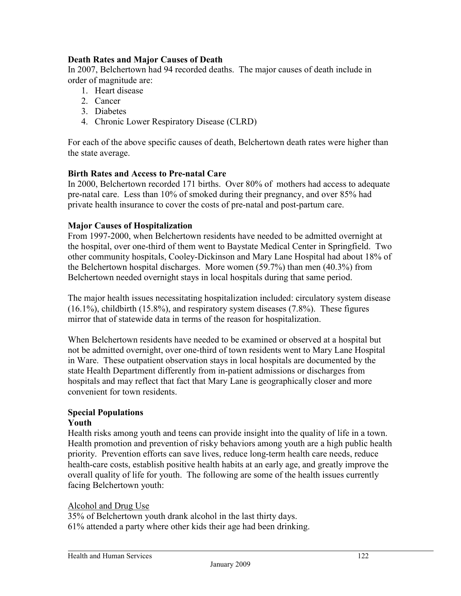# **Death Rates and Major Causes of Death**

In 2007, Belchertown had 94 recorded deaths. The major causes of death include in order of magnitude are:

- 1. Heart disease
- 2. Cancer
- 3. Diabetes
- 4. Chronic Lower Respiratory Disease (CLRD)

For each of the above specific causes of death, Belchertown death rates were higher than the state average.

# **Birth Rates and Access to Pre-natal Care**

In 2000, Belchertown recorded 171 births. Over 80% of mothers had access to adequate pre-natal care. Less than 10% of smoked during their pregnancy, and over 85% had private health insurance to cover the costs of pre-natal and post-partum care.

### **Major Causes of Hospitalization**

From 1997-2000, when Belchertown residents have needed to be admitted overnight at the hospital, over one-third of them went to Baystate Medical Center in Springfield. Two other community hospitals, Cooley-Dickinson and Mary Lane Hospital had about 18% of the Belchertown hospital discharges. More women (59.7%) than men (40.3%) from Belchertown needed overnight stays in local hospitals during that same period.

The major health issues necessitating hospitalization included: circulatory system disease (16.1%), childbirth (15.8%), and respiratory system diseases (7.8%). These figures mirror that of statewide data in terms of the reason for hospitalization.

When Belchertown residents have needed to be examined or observed at a hospital but not be admitted overnight, over one-third of town residents went to Mary Lane Hospital in Ware. These outpatient observation stays in local hospitals are documented by the state Health Department differently from in-patient admissions or discharges from hospitals and may reflect that fact that Mary Lane is geographically closer and more convenient for town residents.

# **Special Populations**

### **Youth**

Health risks among youth and teens can provide insight into the quality of life in a town. Health promotion and prevention of risky behaviors among youth are a high public health priority. Prevention efforts can save lives, reduce long-term health care needs, reduce health-care costs, establish positive health habits at an early age, and greatly improve the overall quality of life for youth. The following are some of the health issues currently facing Belchertown youth:

### Alcohol and Drug Use

35% of Belchertown youth drank alcohol in the last thirty days. 61% attended a party where other kids their age had been drinking.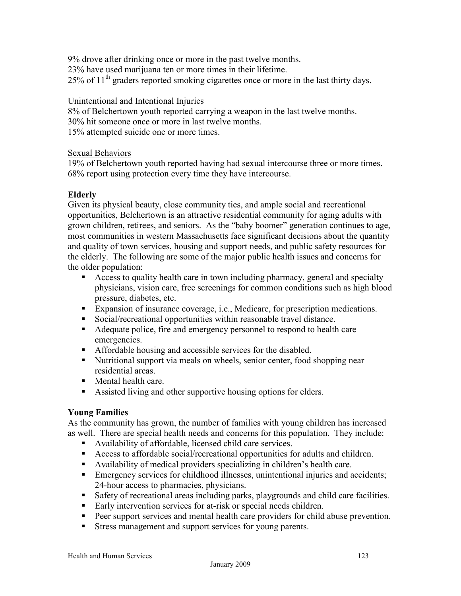9% drove after drinking once or more in the past twelve months. 23% have used marijuana ten or more times in their lifetime.  $25\%$  of  $11<sup>th</sup>$  graders reported smoking cigarettes once or more in the last thirty days.

# Unintentional and Intentional Injuries

8% of Belchertown youth reported carrying a weapon in the last twelve months. 30% hit someone once or more in last twelve months. 15% attempted suicide one or more times.

### Sexual Behaviors

19% of Belchertown youth reported having had sexual intercourse three or more times. 68% report using protection every time they have intercourse.

# **Elderly**

Given its physical beauty, close community ties, and ample social and recreational opportunities, Belchertown is an attractive residential community for aging adults with grown children, retirees, and seniors. As the "baby boomer" generation continues to age, most communities in western Massachusetts face significant decisions about the quantity and quality of town services, housing and support needs, and public safety resources for the elderly. The following are some of the major public health issues and concerns for the older population:

- Access to quality health care in town including pharmacy, general and specialty physicians, vision care, free screenings for common conditions such as high blood pressure, diabetes, etc.
- Expansion of insurance coverage, i.e., Medicare, for prescription medications.
- Social/recreational opportunities within reasonable travel distance.
- Adequate police, fire and emergency personnel to respond to health care emergencies.
- Affordable housing and accessible services for the disabled.
- Nutritional support via meals on wheels, senior center, food shopping near residential areas.
- Mental health care.
- Assisted living and other supportive housing options for elders.

# **Young Families**

As the community has grown, the number of families with young children has increased as well. There are special health needs and concerns for this population. They include:

- Availability of affordable, licensed child care services.
- Access to affordable social/recreational opportunities for adults and children.
- Availability of medical providers specializing in children's health care.
- Emergency services for childhood illnesses, unintentional injuries and accidents; 24-hour access to pharmacies, physicians.
- Safety of recreational areas including parks, playgrounds and child care facilities.
- Early intervention services for at-risk or special needs children.
- Peer support services and mental health care providers for child abuse prevention.
- Stress management and support services for young parents.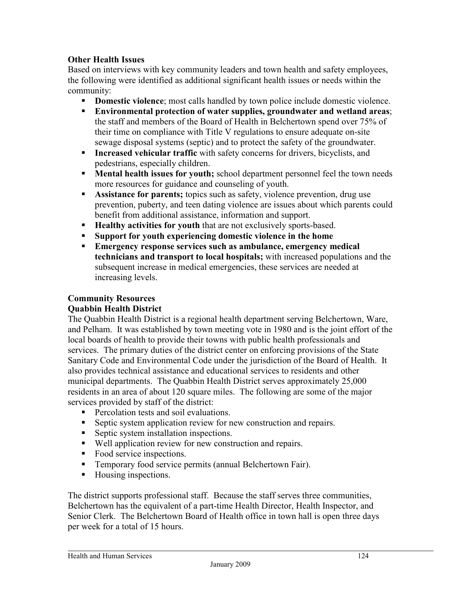# **Other Health Issues**

Based on interviews with key community leaders and town health and safety employees, the following were identified as additional significant health issues or needs within the community:

- **Domestic violence**; most calls handled by town police include domestic violence.
- **Environmental protection of water supplies, groundwater and wetland areas**; the staff and members of the Board of Health in Belchertown spend over 75% of their time on compliance with Title V regulations to ensure adequate on-site sewage disposal systems (septic) and to protect the safety of the groundwater.
- **Increased vehicular traffic** with safety concerns for drivers, bicyclists, and pedestrians, especially children.
- **Mental health issues for youth;** school department personnel feel the town needs more resources for guidance and counseling of youth.
- **Assistance for parents;** topics such as safety, violence prevention, drug use prevention, puberty, and teen dating violence are issues about which parents could benefit from additional assistance, information and support.
- **Healthy activities for youth** that are not exclusively sports-based.
- **Support for youth experiencing domestic violence in the home**
- **Emergency response services such as ambulance, emergency medical technicians and transport to local hospitals;** with increased populations and the subsequent increase in medical emergencies, these services are needed at increasing levels.

#### **Community Resources Quabbin Health District**

The Quabbin Health District is a regional health department serving Belchertown, Ware, and Pelham. It was established by town meeting vote in 1980 and is the joint effort of the local boards of health to provide their towns with public health professionals and services. The primary duties of the district center on enforcing provisions of the State Sanitary Code and Environmental Code under the jurisdiction of the Board of Health. It also provides technical assistance and educational services to residents and other municipal departments. The Quabbin Health District serves approximately 25,000 residents in an area of about 120 square miles. The following are some of the major services provided by staff of the district:

- **Percolation tests and soil evaluations.**
- Septic system application review for new construction and repairs.
- **Septic system installation inspections.**
- Well application review for new construction and repairs.
- Food service inspections.
- Temporary food service permits (annual Belchertown Fair).
- Housing inspections.

The district supports professional staff. Because the staff serves three communities, Belchertown has the equivalent of a part-time Health Director, Health Inspector, and Senior Clerk. The Belchertown Board of Health office in town hall is open three days per week for a total of 15 hours.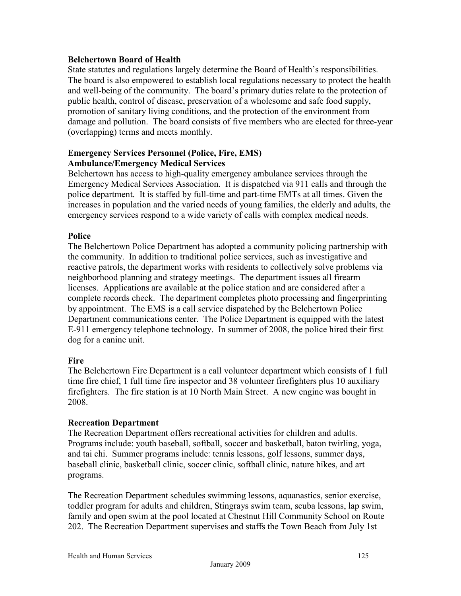# **Belchertown Board of Health**

State statutes and regulations largely determine the Board of Health's responsibilities. The board is also empowered to establish local regulations necessary to protect the health and well-being of the community. The board's primary duties relate to the protection of public health, control of disease, preservation of a wholesome and safe food supply, promotion of sanitary living conditions, and the protection of the environment from damage and pollution. The board consists of five members who are elected for three-year (overlapping) terms and meets monthly.

# **Emergency Services Personnel (Police, Fire, EMS) Ambulance/Emergency Medical Services**

Belchertown has access to high-quality emergency ambulance services through the Emergency Medical Services Association. It is dispatched via 911 calls and through the police department. It is staffed by full-time and part-time EMTs at all times. Given the increases in population and the varied needs of young families, the elderly and adults, the emergency services respond to a wide variety of calls with complex medical needs.

# **Police**

The Belchertown Police Department has adopted a community policing partnership with the community. In addition to traditional police services, such as investigative and reactive patrols, the department works with residents to collectively solve problems via neighborhood planning and strategy meetings. The department issues all firearm licenses. Applications are available at the police station and are considered after a complete records check. The department completes photo processing and fingerprinting by appointment. The EMS is a call service dispatched by the Belchertown Police Department communications center. The Police Department is equipped with the latest E-911 emergency telephone technology. In summer of 2008, the police hired their first dog for a canine unit.

# **Fire**

The Belchertown Fire Department is a call volunteer department which consists of 1 full time fire chief, 1 full time fire inspector and 38 volunteer firefighters plus 10 auxiliary firefighters. The fire station is at 10 North Main Street. A new engine was bought in 2008.

# **Recreation Department**

The Recreation Department offers recreational activities for children and adults. Programs include: youth baseball, softball, soccer and basketball, baton twirling, yoga, and tai chi. Summer programs include: tennis lessons, golf lessons, summer days, baseball clinic, basketball clinic, soccer clinic, softball clinic, nature hikes, and art programs.

The Recreation Department schedules swimming lessons, aquanastics, senior exercise, toddler program for adults and children, Stingrays swim team, scuba lessons, lap swim, family and open swim at the pool located at Chestnut Hill Community School on Route 202. The Recreation Department supervises and staffs the Town Beach from July 1st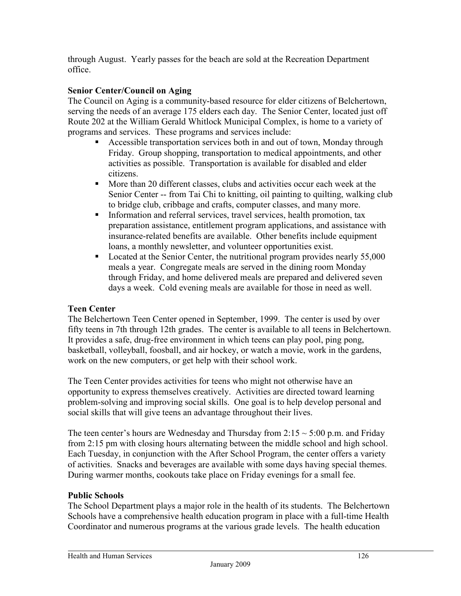through August. Yearly passes for the beach are sold at the Recreation Department office.

# **Senior Center/Council on Aging**

The Council on Aging is a community-based resource for elder citizens of Belchertown, serving the needs of an average 175 elders each day. The Senior Center, located just off Route 202 at the William Gerald Whitlock Municipal Complex, is home to a variety of programs and services. These programs and services include:

- Accessible transportation services both in and out of town, Monday through Friday. Group shopping, transportation to medical appointments, and other activities as possible. Transportation is available for disabled and elder citizens.
- More than 20 different classes, clubs and activities occur each week at the Senior Center -- from Tai Chi to knitting, oil painting to quilting, walking club to bridge club, cribbage and crafts, computer classes, and many more.
- Information and referral services, travel services, health promotion, tax preparation assistance, entitlement program applications, and assistance with insurance-related benefits are available. Other benefits include equipment loans, a monthly newsletter, and volunteer opportunities exist.
- Located at the Senior Center, the nutritional program provides nearly 55,000 meals a year. Congregate meals are served in the dining room Monday through Friday, and home delivered meals are prepared and delivered seven days a week. Cold evening meals are available for those in need as well.

# **Teen Center**

The Belchertown Teen Center opened in September, 1999. The center is used by over fifty teens in 7th through 12th grades. The center is available to all teens in Belchertown. It provides a safe, drug-free environment in which teens can play pool, ping pong, basketball, volleyball, foosball, and air hockey, or watch a movie, work in the gardens, work on the new computers, or get help with their school work.

The Teen Center provides activities for teens who might not otherwise have an opportunity to express themselves creatively. Activities are directed toward learning problem-solving and improving social skills. One goal is to help develop personal and social skills that will give teens an advantage throughout their lives.

The teen center's hours are Wednesday and Thursday from  $2:15 \sim 5:00$  p.m. and Friday from 2:15 pm with closing hours alternating between the middle school and high school. Each Tuesday, in conjunction with the After School Program, the center offers a variety of activities. Snacks and beverages are available with some days having special themes. During warmer months, cookouts take place on Friday evenings for a small fee.

# **Public Schools**

The School Department plays a major role in the health of its students. The Belchertown Schools have a comprehensive health education program in place with a full-time Health Coordinator and numerous programs at the various grade levels. The health education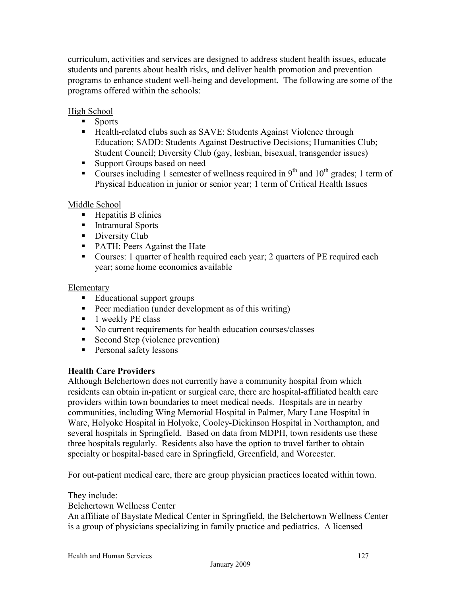curriculum, activities and services are designed to address student health issues, educate students and parents about health risks, and deliver health promotion and prevention programs to enhance student well-being and development. The following are some of the programs offered within the schools:

# High School

- **Sports**
- Health-related clubs such as SAVE: Students Against Violence through Education; SADD: Students Against Destructive Decisions; Humanities Club; Student Council; Diversity Club (gay, lesbian, bisexual, transgender issues)
- Support Groups based on need
- Courses including 1 semester of wellness required in  $9<sup>th</sup>$  and  $10<sup>th</sup>$  grades; 1 term of Physical Education in junior or senior year; 1 term of Critical Health Issues

# Middle School

- $\blacksquare$  Hepatitis B clinics
- **Intramural Sports**
- Diversity Club
- PATH: Peers Against the Hate
- Courses: 1 quarter of health required each year; 2 quarters of PE required each year; some home economics available

# Elementary

- **Educational support groups**
- **Peer mediation (under development as of this writing)**
- $\blacksquare$  1 weekly PE class
- No current requirements for health education courses/classes
- Second Step (violence prevention)
- **Personal safety lessons**

# **Health Care Providers**

Although Belchertown does not currently have a community hospital from which residents can obtain in-patient or surgical care, there are hospital-affiliated health care providers within town boundaries to meet medical needs. Hospitals are in nearby communities, including Wing Memorial Hospital in Palmer, Mary Lane Hospital in Ware, Holyoke Hospital in Holyoke, Cooley-Dickinson Hospital in Northampton, and several hospitals in Springfield. Based on data from MDPH, town residents use these three hospitals regularly. Residents also have the option to travel farther to obtain specialty or hospital-based care in Springfield, Greenfield, and Worcester.

For out-patient medical care, there are group physician practices located within town.

They include:

Belchertown Wellness Center

An affiliate of Baystate Medical Center in Springfield, the Belchertown Wellness Center is a group of physicians specializing in family practice and pediatrics. A licensed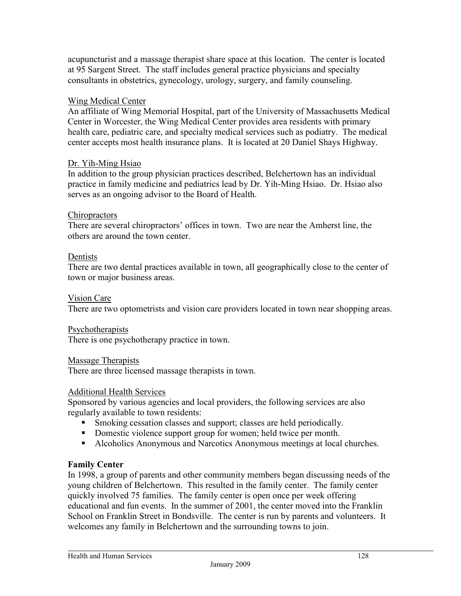acupuncturist and a massage therapist share space at this location. The center is located at 95 Sargent Street. The staff includes general practice physicians and specialty consultants in obstetrics, gynecology, urology, surgery, and family counseling.

### Wing Medical Center

An affiliate of Wing Memorial Hospital, part of the University of Massachusetts Medical Center in Worcester, the Wing Medical Center provides area residents with primary health care, pediatric care, and specialty medical services such as podiatry. The medical center accepts most health insurance plans. It is located at 20 Daniel Shays Highway.

### Dr. Yih-Ming Hsiao

In addition to the group physician practices described, Belchertown has an individual practice in family medicine and pediatrics lead by Dr. Yih-Ming Hsiao. Dr. Hsiao also serves as an ongoing advisor to the Board of Health.

### Chiropractors

There are several chiropractors' offices in town. Two are near the Amherst line, the others are around the town center.

### Dentists

There are two dental practices available in town, all geographically close to the center of town or major business areas.

### Vision Care

There are two optometrists and vision care providers located in town near shopping areas.

### Psychotherapists

There is one psychotherapy practice in town.

### Massage Therapists

There are three licensed massage therapists in town.

### Additional Health Services

Sponsored by various agencies and local providers, the following services are also regularly available to town residents:

- Smoking cessation classes and support; classes are held periodically.
- Domestic violence support group for women; held twice per month.
- Alcoholics Anonymous and Narcotics Anonymous meetings at local churches.

### **Family Center**

In 1998, a group of parents and other community members began discussing needs of the young children of Belchertown. This resulted in the family center. The family center quickly involved 75 families. The family center is open once per week offering educational and fun events. In the summer of 2001, the center moved into the Franklin School on Franklin Street in Bondsville. The center is run by parents and volunteers. It welcomes any family in Belchertown and the surrounding towns to join.